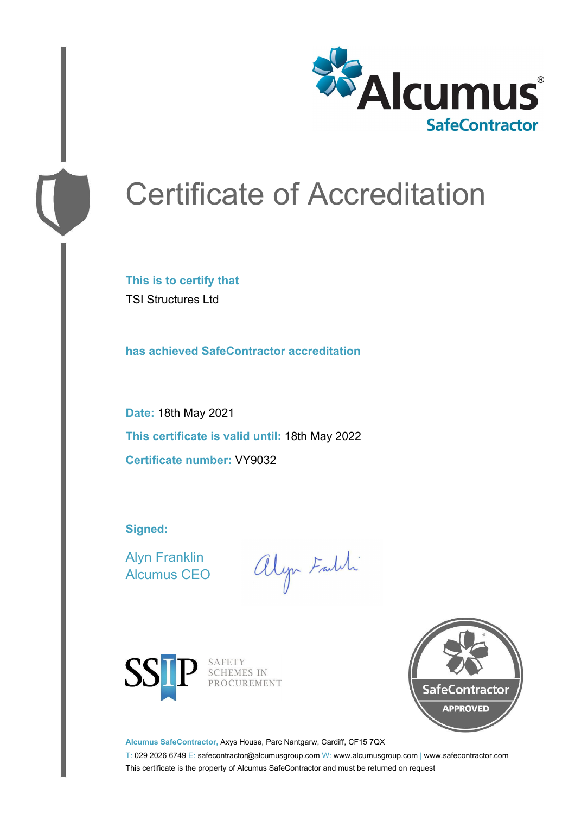

# Certificate of Accreditation

**This is to certify that** TSI Structures Ltd

**has achieved SafeContractor accreditation**

**Date:** 18th May 2021 **This certificate is valid until:** 18th May 2022 **Certificate number:** VY9032

**Signed:**

Alyn Franklin Alcumus CEO

alyn Faith



SAFETY SCHEMES IN PROCUREMENT



**Alcumus SafeContractor,** Axys House, Parc Nantgarw, Cardiff, CF15 7QX

T: 029 2026 6749 E: safecontractor@alcumusgroup.com W: www.alcumusgroup.com | www.safecontractor.com This certificate is the property of Alcumus SafeContractor and must be returned on request